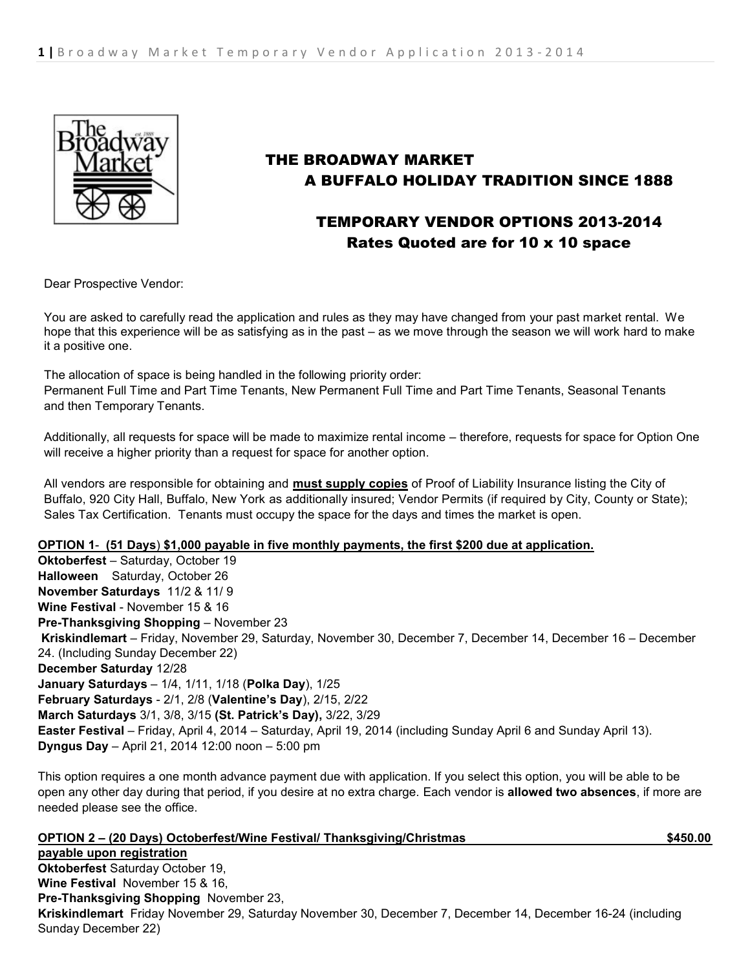

# THE BROADWAY MARKET A BUFFALO HOLIDAY TRADITION SINCE 1888

# TEMPORARY VENDOR OPTIONS 2013-2014 Rates Quoted are for 10 x 10 space

Dear Prospective Vendor:

You are asked to carefully read the application and rules as they may have changed from your past market rental. We hope that this experience will be as satisfying as in the past – as we move through the season we will work hard to make it a positive one.

The allocation of space is being handled in the following priority order: Permanent Full Time and Part Time Tenants, New Permanent Full Time and Part Time Tenants, Seasonal Tenants and then Temporary Tenants.

Additionally, all requests for space will be made to maximize rental income – therefore, requests for space for Option One will receive a higher priority than a request for space for another option.

All vendors are responsible for obtaining and **must supply copies** of Proof of Liability Insurance listing the City of Buffalo, 920 City Hall, Buffalo, New York as additionally insured; Vendor Permits (if required by City, County or State); Sales Tax Certification. Tenants must occupy the space for the days and times the market is open.

## **OPTION 1**- **(51 Days**) **\$1,000 payable in five monthly payments, the first \$200 due at application.**

**Oktoberfest** – Saturday, October 19 **Halloween** Saturday, October 26 **November Saturdays** 11/2 & 11/ 9 **Wine Festival** - November 15 & 16 **Pre-Thanksgiving Shopping** – November 23 **Kriskindlemart** – Friday, November 29, Saturday, November 30, December 7, December 14, December 16 – December 24. (Including Sunday December 22) **December Saturday** 12/28 **January Saturdays** – 1/4, 1/11, 1/18 (**Polka Day**), 1/25 **February Saturdays** - 2/1, 2/8 (**Valentine's Day**), 2/15, 2/22 **March Saturdays** 3/1, 3/8, 3/15 **(St. Patrick's Day),** 3/22, 3/29 **Easter Festival** – Friday, April 4, 2014 – Saturday, April 19, 2014 (including Sunday April 6 and Sunday April 13). **Dyngus Day** – April 21, 2014 12:00 noon – 5:00 pm

This option requires a one month advance payment due with application. If you select this option, you will be able to be open any other day during that period, if you desire at no extra charge. Each vendor is **allowed two absences**, if more are needed please see the office.

| OPTION 2 - (20 Days) Octoberfest/Wine Festival/ Thanksgiving/Christmas                                      | \$450.00 |
|-------------------------------------------------------------------------------------------------------------|----------|
| payable upon registration                                                                                   |          |
| <b>Oktoberfest Saturday October 19,</b>                                                                     |          |
| <b>Wine Festival November 15 &amp; 16,</b>                                                                  |          |
| Pre-Thanksgiving Shopping November 23,                                                                      |          |
| Kriskindlemart Friday November 29, Saturday November 30, December 7, December 14, December 16-24 (including |          |
| Sunday December 22)                                                                                         |          |
|                                                                                                             |          |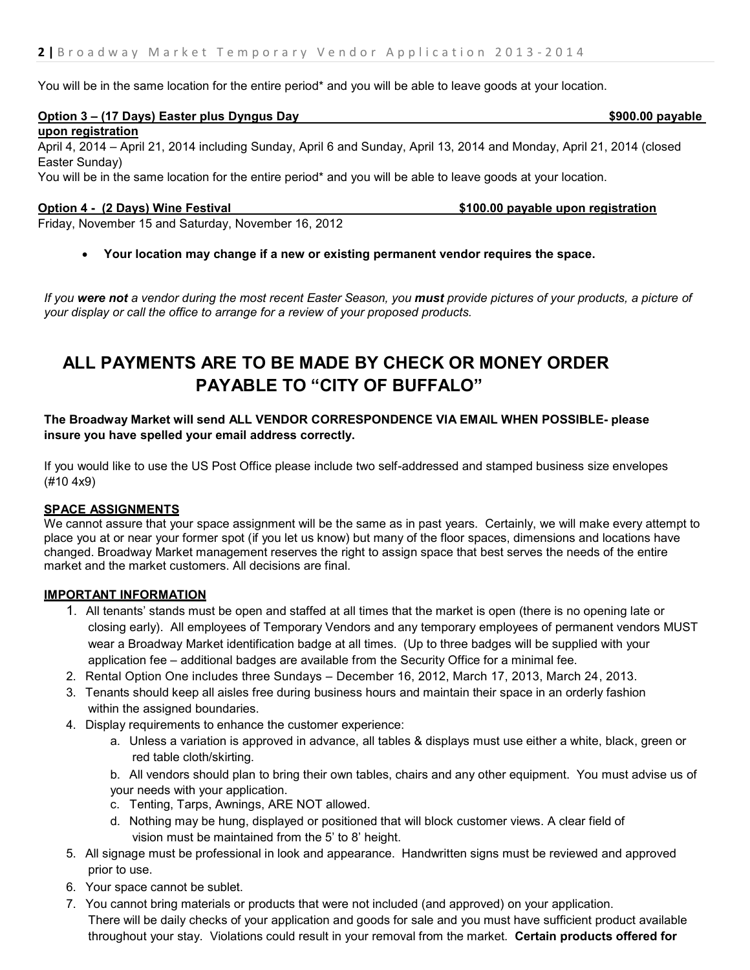You will be in the same location for the entire period<sup>\*</sup> and you will be able to leave goods at your location.

## **Option 3 – (17 Days) Easter plus Dyngus Day \$900.00 payable**

**upon registration**

April 4, 2014 – April 21, 2014 including Sunday, April 6 and Sunday, April 13, 2014 and Monday, April 21, 2014 (closed Easter Sunday)

You will be in the same location for the entire period\* and you will be able to leave goods at your location.

**Option 4 - (2 Days) Wine Festival <b>\$100.00 payable upon registration** 

Friday, November 15 and Saturday, November 16, 2012

**Your location may change if a new or existing permanent vendor requires the space.**

*If you were not a vendor during the most recent Easter Season, you must provide pictures of your products, a picture of your display or call the office to arrange for a review of your proposed products.*

# **ALL PAYMENTS ARE TO BE MADE BY CHECK OR MONEY ORDER PAYABLE TO "CITY OF BUFFALO"**

## **The Broadway Market will send ALL VENDOR CORRESPONDENCE VIA EMAIL WHEN POSSIBLE- please insure you have spelled your email address correctly.**

If you would like to use the US Post Office please include two self-addressed and stamped business size envelopes (#10 4x9)

### **SPACE ASSIGNMENTS**

We cannot assure that your space assignment will be the same as in past years. Certainly, we will make every attempt to place you at or near your former spot (if you let us know) but many of the floor spaces, dimensions and locations have changed. Broadway Market management reserves the right to assign space that best serves the needs of the entire market and the market customers. All decisions are final.

### **IMPORTANT INFORMATION**

- 1. All tenants' stands must be open and staffed at all times that the market is open (there is no opening late or closing early). All employees of Temporary Vendors and any temporary employees of permanent vendors MUST wear a Broadway Market identification badge at all times. (Up to three badges will be supplied with your application fee – additional badges are available from the Security Office for a minimal fee.
- 2. Rental Option One includes three Sundays December 16, 2012, March 17, 2013, March 24, 2013.
- 3. Tenants should keep all aisles free during business hours and maintain their space in an orderly fashion within the assigned boundaries.
- 4. Display requirements to enhance the customer experience:
	- a. Unless a variation is approved in advance, all tables & displays must use either a white, black, green or red table cloth/skirting.

b. All vendors should plan to bring their own tables, chairs and any other equipment. You must advise us of your needs with your application.

- c. Tenting, Tarps, Awnings, ARE NOT allowed.
- d. Nothing may be hung, displayed or positioned that will block customer views. A clear field of vision must be maintained from the 5' to 8' height.
- 5. All signage must be professional in look and appearance. Handwritten signs must be reviewed and approved prior to use.
- 6. Your space cannot be sublet.
- 7. You cannot bring materials or products that were not included (and approved) on your application. There will be daily checks of your application and goods for sale and you must have sufficient product available throughout your stay. Violations could result in your removal from the market. **Certain products offered for**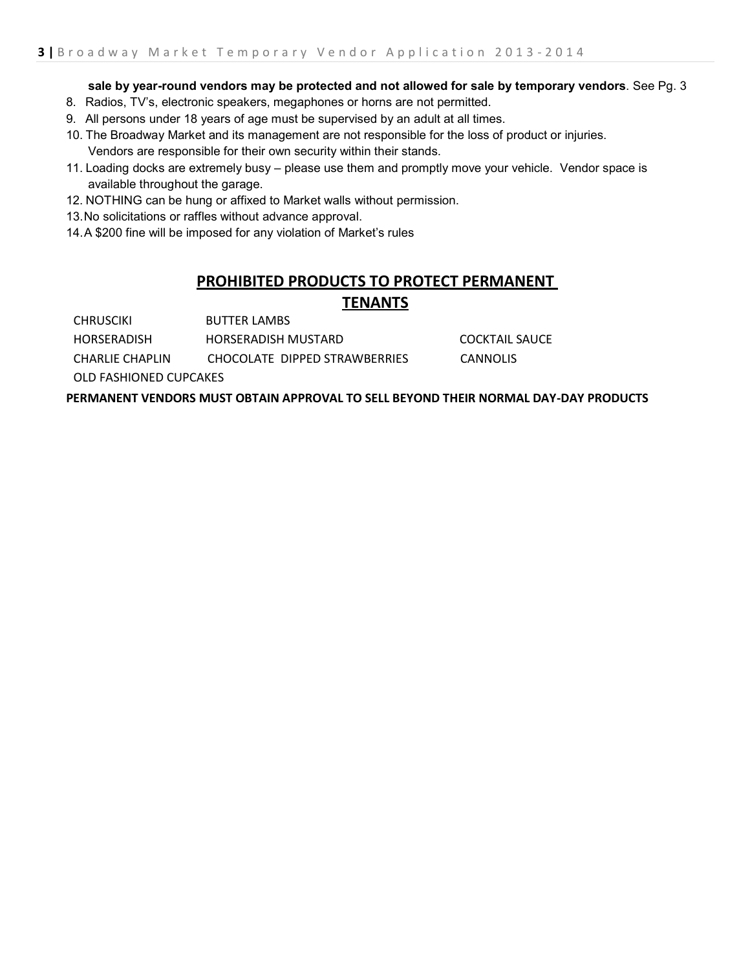### **sale by year-round vendors may be protected and not allowed for sale by temporary vendors**. See Pg. 3

- 8. Radios, TV's, electronic speakers, megaphones or horns are not permitted.
- 9. All persons under 18 years of age must be supervised by an adult at all times.
- 10. The Broadway Market and its management are not responsible for the loss of product or injuries. Vendors are responsible for their own security within their stands.
- 11. Loading docks are extremely busy please use them and promptly move your vehicle. Vendor space is available throughout the garage.
- 12. NOTHING can be hung or affixed to Market walls without permission.
- 13.No solicitations or raffles without advance approval.
- 14.A \$200 fine will be imposed for any violation of Market's rules

## **PROHIBITED PRODUCTS TO PROTECT PERMANENT TENANTS**

CHRUSCIKI BUTTER LAMBS

HORSERADISH HORSERADISH MUSTARD COCKTAIL SAUCE

CHARLIE CHAPLIN CHOCOLATE DIPPED STRAWBERRIES CANNOLIS

OLD FASHIONED CUPCAKES

**PERMANENT VENDORS MUST OBTAIN APPROVAL TO SELL BEYOND THEIR NORMAL DAY-DAY PRODUCTS**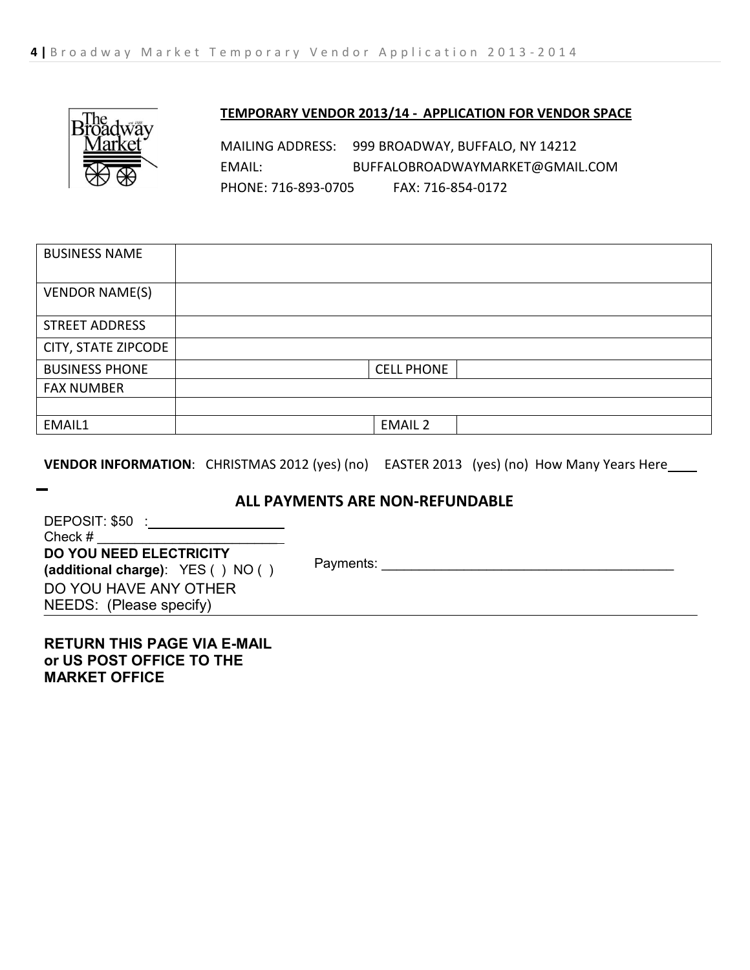

## **TEMPORARY VENDOR 2013/14 - APPLICATION FOR VENDOR SPACE**

MAILING ADDRESS: 999 BROADWAY, BUFFALO, NY 14212 EMAIL: [BUFFALOBROADWAYMARKET@GMAIL.COM](mailto:BUFFALOBROADWAYMARKET@GMAIL.COM) PHONE: 716-893-0705 FAX: 716-854-0172

| <b>BUSINESS NAME</b>  |                   |
|-----------------------|-------------------|
| <b>VENDOR NAME(S)</b> |                   |
| <b>STREET ADDRESS</b> |                   |
| CITY, STATE ZIPCODE   |                   |
| <b>BUSINESS PHONE</b> | <b>CELL PHONE</b> |
| <b>FAX NUMBER</b>     |                   |
|                       |                   |
| EMAIL1                | <b>EMAIL 2</b>    |

**VENDOR INFORMATION:** CHRISTMAS 2012 (yes) (no) EASTER 2013 (yes) (no) How Many Years Here

## **ALL PAYMENTS ARE NON-REFUNDABLE**

| DEPOSIT: \$50:                    |
|-----------------------------------|
| Check #                           |
| <b>DO YOU NEED ELECTRICITY</b>    |
| (additional charge): YES () NO () |
| DO YOU HAVE ANY OTHER             |
| NEEDS: (Please specify)           |

Payments: \_\_\_\_\_\_\_\_\_\_\_\_\_\_\_\_\_\_\_\_\_\_\_\_\_\_\_\_\_\_\_\_\_\_\_\_\_\_\_

## **RETURN THIS PAGE VIA E-MAIL or US POST OFFICE TO THE MARKET OFFICE**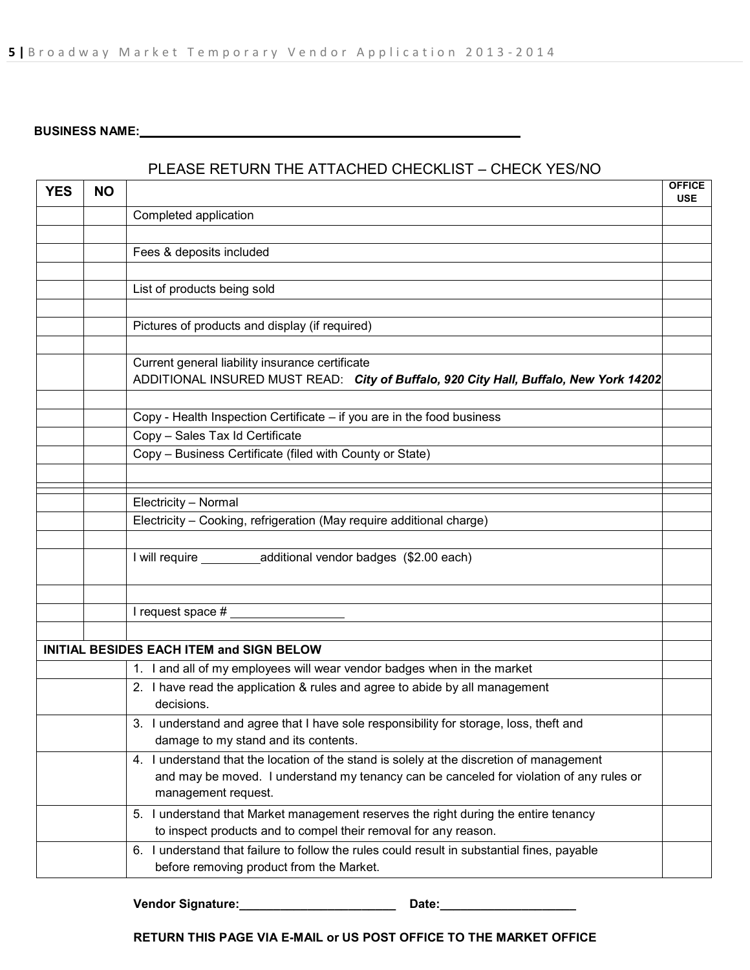## **BUSINESS NAME:**

## PLEASE RETURN THE ATTACHED CHECKLIST – CHECK YES/NO

| <b>YES</b> | <b>NO</b> |                                                                                                                                | <b>OFFICE</b><br><b>USE</b> |
|------------|-----------|--------------------------------------------------------------------------------------------------------------------------------|-----------------------------|
|            |           | Completed application                                                                                                          |                             |
|            |           |                                                                                                                                |                             |
|            |           | Fees & deposits included                                                                                                       |                             |
|            |           |                                                                                                                                |                             |
|            |           | List of products being sold                                                                                                    |                             |
|            |           |                                                                                                                                |                             |
|            |           | Pictures of products and display (if required)                                                                                 |                             |
|            |           |                                                                                                                                |                             |
|            |           | Current general liability insurance certificate                                                                                |                             |
|            |           | ADDITIONAL INSURED MUST READ: City of Buffalo, 920 City Hall, Buffalo, New York 14202                                          |                             |
|            |           |                                                                                                                                |                             |
|            |           | Copy - Health Inspection Certificate – if you are in the food business                                                         |                             |
|            |           | Copy - Sales Tax Id Certificate                                                                                                |                             |
|            |           | Copy - Business Certificate (filed with County or State)                                                                       |                             |
|            |           |                                                                                                                                |                             |
|            |           | Electricity - Normal                                                                                                           |                             |
|            |           | Electricity - Cooking, refrigeration (May require additional charge)                                                           |                             |
|            |           |                                                                                                                                |                             |
|            |           | I will require ____________ additional vendor badges (\$2.00 each)                                                             |                             |
|            |           |                                                                                                                                |                             |
|            |           |                                                                                                                                |                             |
|            |           | I request space #                                                                                                              |                             |
|            |           |                                                                                                                                |                             |
|            |           | <b>INITIAL BESIDES EACH ITEM and SIGN BELOW</b>                                                                                |                             |
|            |           | 1. I and all of my employees will wear vendor badges when in the market                                                        |                             |
|            |           | 2. I have read the application & rules and agree to abide by all management                                                    |                             |
|            |           | decisions.                                                                                                                     |                             |
|            |           | 3. I understand and agree that I have sole responsibility for storage, loss, theft and<br>damage to my stand and its contents. |                             |
|            |           | 4. I understand that the location of the stand is solely at the discretion of management                                       |                             |
|            |           | and may be moved. I understand my tenancy can be canceled for violation of any rules or<br>management request.                 |                             |
|            |           | 5. I understand that Market management reserves the right during the entire tenancy                                            |                             |
|            |           | to inspect products and to compel their removal for any reason.                                                                |                             |
|            |           | 6. I understand that failure to follow the rules could result in substantial fines, payable                                    |                             |
|            |           | before removing product from the Market.                                                                                       |                             |

# **Vendor Signature:\_\_\_\_\_\_\_\_\_\_\_\_\_\_\_\_\_\_\_\_\_\_\_ Date:\_\_\_\_\_\_\_\_\_\_\_\_\_\_\_\_\_\_\_\_**

**RETURN THIS PAGE VIA E-MAIL or US POST OFFICE TO THE MARKET OFFICE**